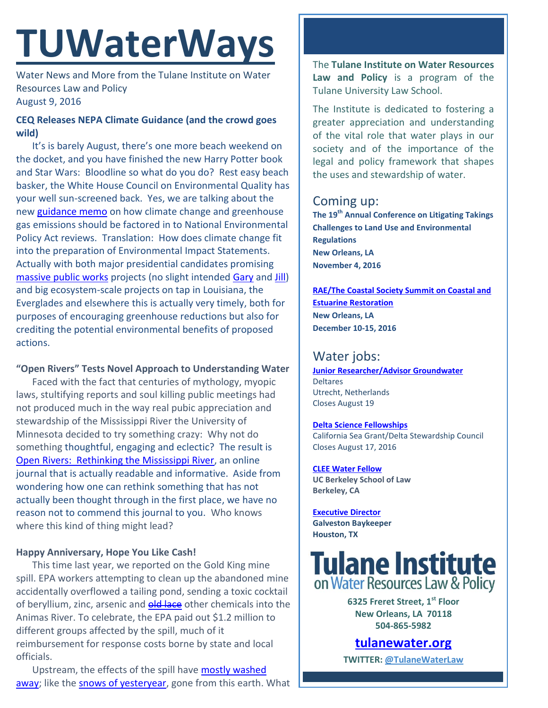# **TUWaterWays**

Water News and More from the Tulane Institute on Water Resources Law and Policy August 9, 2016

### **CEQ Releases NEPA Climate Guidance (and the crowd goes wild)**

It's is barely August, there's one more beach weekend on the docket, and you have finished the new Harry Potter book and Star Wars: Bloodline so what do you do? Rest easy beach basker, the White House Council on Environmental Quality has your well sun-screened back. Yes, we are talking about the new [guidance memo](https://www.whitehouse.gov/sites/whitehouse.gov/files/documents/nepa_final_ghg_guidance.pdf) on how climate change and greenhouse gas emissions should be factored in to National Environmental Policy Act reviews. Translation: How does climate change fit into the preparation of Environmental Impact Statements. Actually with both major presidential candidates promising [massive public works](http://www.kiplinger.com/article/business/T043-C000-S001-where-clinton-and-trump-stand-on-infrastructure.html) projects (no slight intended [Gary](https://ballotpedia.org/Gary_Johnson_presidential_campaign,_2016) and [Jill\)](https://ballotpedia.org/Jill_Stein_presidential_campaign,_2016) and big ecosystem-scale projects on tap in Louisiana, the Everglades and elsewhere this is actually very timely, both for purposes of encouraging greenhouse reductions but also for crediting the potential environmental benefits of proposed actions.

#### **"Open Rivers" Tests Novel Approach to Understanding Water**

Faced with the fact that centuries of mythology, myopic laws, stultifying reports and soul killing public meetings had not produced much in the way real pubic appreciation and stewardship of the Mississippi River the University of Minnesota decided to try something crazy: Why not do something thoughtful, engaging and eclectic? The result is [Open Rivers: Rethinking the Mississippi River,](http://openrivers.umn.edu/) an online journal that is actually readable and informative. Aside from wondering how one can rethink something that has not actually been thought through in the first place, we have no reason not to commend this journal to you. Who knows where this kind of thing might lead?

#### **Happy Anniversary, Hope You Like Cash!**

This time last year, we reported on the Gold King mine spill. EPA workers attempting to clean up the abandoned mine accidentally overflowed a tailing pond, sending a toxic cocktail of beryllium, zinc, arsenic and **old lace** other chemicals into the Animas River. To celebrate, the EPA paid out \$1.2 million to different groups affected by the spill, much of it reimbursement for response costs borne by state and local officials.

Upstream, the effects of the spill have [mostly washed](http://www.denverpost.com/2016/08/05/gold-king-mine-durango-navajo-nation/)  [away;](http://www.denverpost.com/2016/08/05/gold-king-mine-durango-navajo-nation/) like the [snows of yesteryear,](http://denver.cbslocal.com/2016/08/07/silverton-residents-enjoy-epa-ipa-1-year-after-gold-king-mine-spill/) gone from this earth. What

The **Tulane Institute on Water Resources Law and Policy** is a program of the Tulane University Law School.

The Institute is dedicated to fostering a greater appreciation and understanding of the vital role that water plays in our society and of the importance of the legal and policy framework that shapes the uses and stewardship of water.

## Coming up:

**The 19th Annual Conference on Litigating Takings Challenges to Land Use and Environmental Regulations New Orleans, LA November 4, 2016**

**[RAE/The Coastal Society Summit on Coastal and](https://www.estuaries.org/images/NOLA_2016/2016-Summit-CFP_FINAL-011516.pdf)  [Estuarine Restoration](https://www.estuaries.org/images/NOLA_2016/2016-Summit-CFP_FINAL-011516.pdf) New Orleans, LA December 10-15, 2016**

# Water jobs:

**[Junior Researcher/Advisor Groundwater](https://www.deltares.nl/nl/careers/junior-researcheradvisor-groundwater/)** Deltares Utrecht, Netherlands Closes August 19

#### **[Delta Science Fellowships](https://caseagrant.ucsd.edu/fellowships/delta-science-fellowship)** California Sea Grant/Delta Stewardship Council

Closes August 17, 2016

**[CLEE Water Fellow](file:///C:/Users/waterlaw/Downloads/CLEE_Water%20Fellow_July%202016.pdf) UC Berkeley School of Law Berkeley, CA**

**[Executive Director](http://www.galvestonbaykeeper.org/job_openings) Galveston Baykeeper Houston, TX**

# **Tulane Institute** on Water Resources Law & Policy

**6325 Freret Street, 1st Floor New Orleans, LA 70118 504-865-5982** 

# **[tulanewater.org](file:///C:/Users/waterlaw/Downloads/tulanewater.org)**

**TWITTER: [@TulaneWaterLaw](http://www.twitter.com/TulaneWaterLaw)**